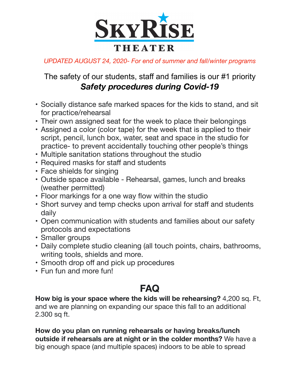

*UPDATED AUGUST 24, 2020- For end of summer and fall/winter programs*

## The safety of our students, staff and families is our #1 priority *Safety procedures during Covid-19*

- Socially distance safe marked spaces for the kids to stand, and sit for practice/rehearsal
- Their own assigned seat for the week to place their belongings
- Assigned a color (color tape) for the week that is applied to their script, pencil, lunch box, water, seat and space in the studio for practice- to prevent accidentally touching other people's things
- Multiple sanitation stations throughout the studio
- Required masks for staff and students
- Face shields for singing
- Outside space available Rehearsal, games, lunch and breaks (weather permitted)
- Floor markings for a one way flow within the studio
- Short survey and temp checks upon arrival for staff and students daily
- Open communication with students and families about our safety protocols and expectations
- Smaller groups
- Daily complete studio cleaning (all touch points, chairs, bathrooms, writing tools, shields and more.
- Smooth drop off and pick up procedures
- Fun fun and more fun!

## **FAQ**

**How big is your space where the kids will be rehearsing?** 4,200 sq. Ft, and we are planning on expanding our space this fall to an additional 2.300 sq ft.

**How do you plan on running rehearsals or having breaks/lunch outside if rehearsals are at night or in the colder months?** We have a big enough space (and multiple spaces) indoors to be able to spread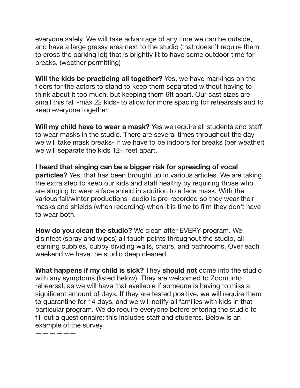everyone safely. We will take advantage of any time we can be outside, and have a large grassy area next to the studio (that doesn't require them to cross the parking lot) that is brightly lit to have some outdoor time for breaks. (weather permitting)

**Will the kids be practicing all together?** Yes, we have markings on the floors for the actors to stand to keep them separated without having to think about it too much, but keeping them 6ft apart. Our cast sizes are small this fall -max 22 kids- to allow for more spacing for rehearsals and to keep everyone together.

**Will my child have to wear a mask?** Yes we require all students and staff to wear masks in the studio. There are several times throughout the day we will take mask breaks- If we have to be indoors for breaks (per weather) we will separate the kids 12+ feet apart.

**I heard that singing can be a bigger risk for spreading of vocal particles?** Yes, that has been brought up in various articles. We are taking the extra step to keep our kids and staff healthy by requiring those who are singing to wear a face shield in addition to a face mask. With the various fall/winter productions- audio is pre-recorded so they wear their masks and shields (when recording) when it is time to film they don't have to wear both.

**How do you clean the studio?** We clean after EVERY program. We disinfect (spray and wipes) all touch points throughout the studio, all learning cubbies, cubby dividing walls, chairs, and bathrooms. Over each weekend we have the studio deep cleaned.

**What happens if my child is sick?** They **should not** come into the studio with any symptoms (listed below). They are welcomed to Zoom into rehearsal, as we will have that available if someone is having to miss a significant amount of days. If they are tested positive, we will require them to quarantine for 14 days, and we will notify all families with kids in that particular program. We do require everyone before entering the studio to fill out a questionnaire: this includes staff and students. Below is an example of the survey.

——————